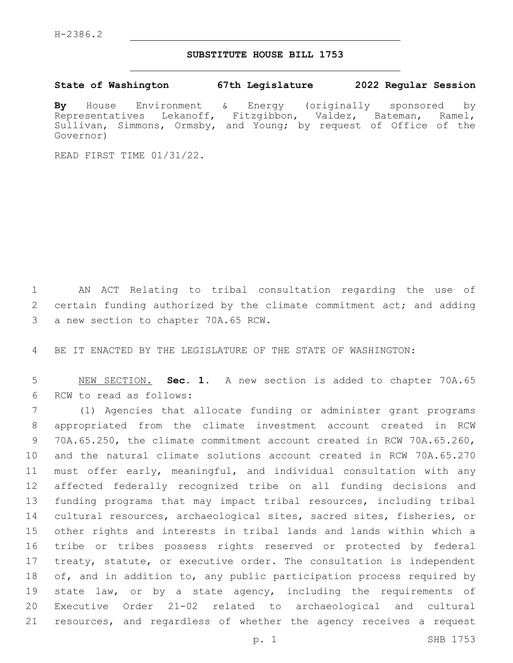## **SUBSTITUTE HOUSE BILL 1753**

**State of Washington 67th Legislature 2022 Regular Session**

**By** House Environment & Energy (originally sponsored by Representatives Lekanoff, Fitzgibbon, Valdez, Bateman, Ramel, Sullivan, Simmons, Ormsby, and Young; by request of Office of the Governor)

READ FIRST TIME 01/31/22.

1 AN ACT Relating to tribal consultation regarding the use of 2 certain funding authorized by the climate commitment act; and adding 3 a new section to chapter 70A.65 RCW.

4 BE IT ENACTED BY THE LEGISLATURE OF THE STATE OF WASHINGTON:

5 NEW SECTION. **Sec. 1.** A new section is added to chapter 70A.65 6 RCW to read as follows:

 (1) Agencies that allocate funding or administer grant programs appropriated from the climate investment account created in RCW 70A.65.250, the climate commitment account created in RCW 70A.65.260, and the natural climate solutions account created in RCW 70A.65.270 must offer early, meaningful, and individual consultation with any affected federally recognized tribe on all funding decisions and funding programs that may impact tribal resources, including tribal cultural resources, archaeological sites, sacred sites, fisheries, or other rights and interests in tribal lands and lands within which a tribe or tribes possess rights reserved or protected by federal treaty, statute, or executive order. The consultation is independent of, and in addition to, any public participation process required by state law, or by a state agency, including the requirements of Executive Order 21-02 related to archaeological and cultural resources, and regardless of whether the agency receives a request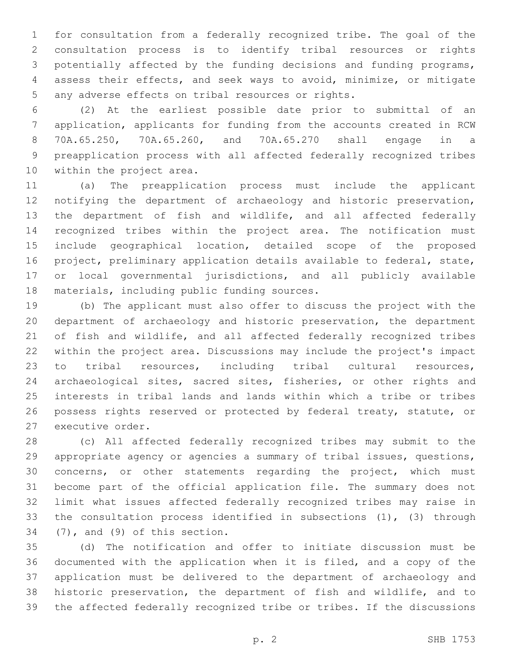for consultation from a federally recognized tribe. The goal of the consultation process is to identify tribal resources or rights potentially affected by the funding decisions and funding programs, assess their effects, and seek ways to avoid, minimize, or mitigate 5 any adverse effects on tribal resources or rights.

 (2) At the earliest possible date prior to submittal of an application, applicants for funding from the accounts created in RCW 70A.65.250, 70A.65.260, and 70A.65.270 shall engage in a preapplication process with all affected federally recognized tribes 10 within the project area.

 (a) The preapplication process must include the applicant notifying the department of archaeology and historic preservation, the department of fish and wildlife, and all affected federally recognized tribes within the project area. The notification must include geographical location, detailed scope of the proposed project, preliminary application details available to federal, state, or local governmental jurisdictions, and all publicly available 18 materials, including public funding sources.

 (b) The applicant must also offer to discuss the project with the department of archaeology and historic preservation, the department of fish and wildlife, and all affected federally recognized tribes within the project area. Discussions may include the project's impact to tribal resources, including tribal cultural resources, archaeological sites, sacred sites, fisheries, or other rights and interests in tribal lands and lands within which a tribe or tribes 26 possess rights reserved or protected by federal treaty, statute, or 27 executive order.

 (c) All affected federally recognized tribes may submit to the appropriate agency or agencies a summary of tribal issues, questions, concerns, or other statements regarding the project, which must become part of the official application file. The summary does not limit what issues affected federally recognized tribes may raise in the consultation process identified in subsections (1), (3) through  $(7)$ , and  $(9)$  of this section.

 (d) The notification and offer to initiate discussion must be documented with the application when it is filed, and a copy of the application must be delivered to the department of archaeology and historic preservation, the department of fish and wildlife, and to the affected federally recognized tribe or tribes. If the discussions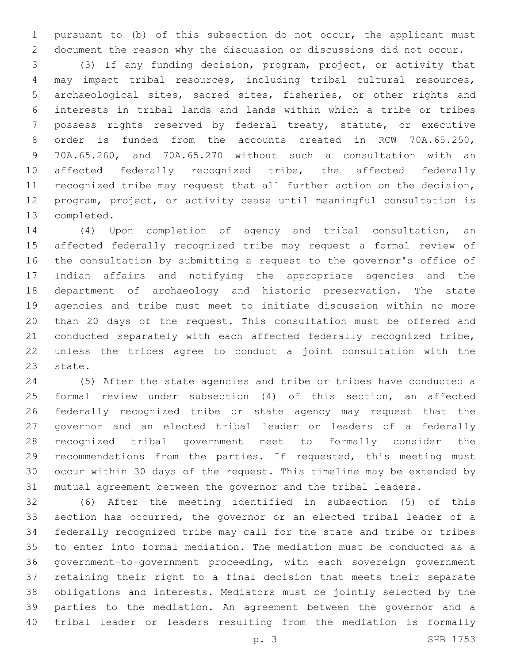pursuant to (b) of this subsection do not occur, the applicant must document the reason why the discussion or discussions did not occur.

 (3) If any funding decision, program, project, or activity that may impact tribal resources, including tribal cultural resources, archaeological sites, sacred sites, fisheries, or other rights and interests in tribal lands and lands within which a tribe or tribes possess rights reserved by federal treaty, statute, or executive order is funded from the accounts created in RCW 70A.65.250, 70A.65.260, and 70A.65.270 without such a consultation with an 10 affected federally recognized tribe, the affected federally recognized tribe may request that all further action on the decision, program, project, or activity cease until meaningful consultation is 13 completed.

 (4) Upon completion of agency and tribal consultation, an affected federally recognized tribe may request a formal review of the consultation by submitting a request to the governor's office of Indian affairs and notifying the appropriate agencies and the department of archaeology and historic preservation. The state agencies and tribe must meet to initiate discussion within no more than 20 days of the request. This consultation must be offered and conducted separately with each affected federally recognized tribe, unless the tribes agree to conduct a joint consultation with the 23 state.

 (5) After the state agencies and tribe or tribes have conducted a formal review under subsection (4) of this section, an affected federally recognized tribe or state agency may request that the governor and an elected tribal leader or leaders of a federally recognized tribal government meet to formally consider the recommendations from the parties. If requested, this meeting must occur within 30 days of the request. This timeline may be extended by mutual agreement between the governor and the tribal leaders.

 (6) After the meeting identified in subsection (5) of this section has occurred, the governor or an elected tribal leader of a federally recognized tribe may call for the state and tribe or tribes to enter into formal mediation. The mediation must be conducted as a government-to-government proceeding, with each sovereign government retaining their right to a final decision that meets their separate obligations and interests. Mediators must be jointly selected by the parties to the mediation. An agreement between the governor and a tribal leader or leaders resulting from the mediation is formally

p. 3 SHB 1753